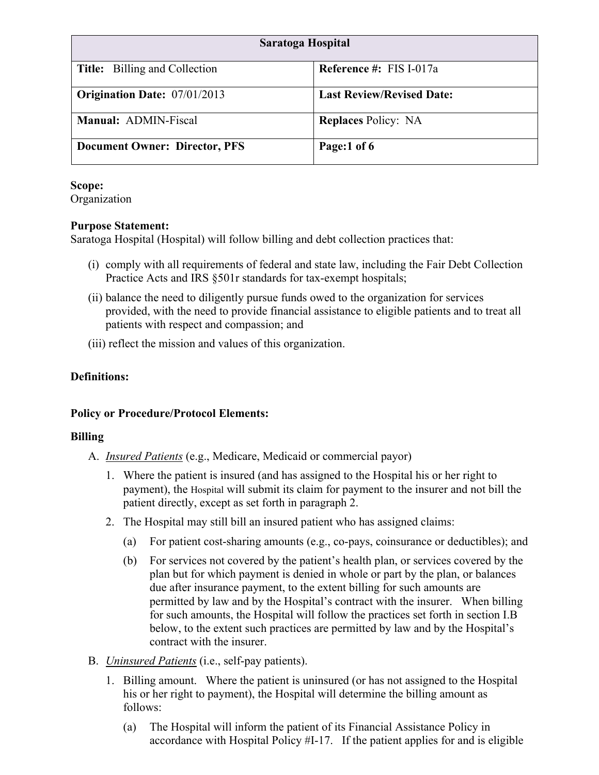| Saratoga Hospital                    |                                  |
|--------------------------------------|----------------------------------|
| <b>Title:</b> Billing and Collection | Reference #: FIS I-017a          |
| <b>Origination Date: 07/01/2013</b>  | <b>Last Review/Revised Date:</b> |
| Manual: ADMIN-Fiscal                 | <b>Replaces Policy: NA</b>       |
| <b>Document Owner: Director, PFS</b> | Page:1 of 6                      |

### **Scope:**

Organization

### **Purpose Statement:**

Saratoga Hospital (Hospital) will follow billing and debt collection practices that:

- (i) comply with all requirements of federal and state law, including the Fair Debt Collection Practice Acts and IRS §501r standards for tax-exempt hospitals;
- (ii) balance the need to diligently pursue funds owed to the organization for services provided, with the need to provide financial assistance to eligible patients and to treat all patients with respect and compassion; and
- (iii) reflect the mission and values of this organization.

# **Definitions:**

# **Policy or Procedure/Protocol Elements:**

# **Billing**

- A. *Insured Patients* (e.g., Medicare, Medicaid or commercial payor)
	- 1. Where the patient is insured (and has assigned to the Hospital his or her right to payment), the Hospital will submit its claim for payment to the insurer and not bill the patient directly, except as set forth in paragraph 2.
	- 2. The Hospital may still bill an insured patient who has assigned claims:
		- (a) For patient cost-sharing amounts (e.g., co-pays, coinsurance or deductibles); and
		- (b) For services not covered by the patient's health plan, or services covered by the plan but for which payment is denied in whole or part by the plan, or balances due after insurance payment, to the extent billing for such amounts are permitted by law and by the Hospital's contract with the insurer. When billing for such amounts, the Hospital will follow the practices set forth in section I.B below, to the extent such practices are permitted by law and by the Hospital's contract with the insurer.
- B. *Uninsured Patients* (i.e., self-pay patients).
	- 1. Billing amount. Where the patient is uninsured (or has not assigned to the Hospital his or her right to payment), the Hospital will determine the billing amount as follows:
		- (a) The Hospital will inform the patient of its Financial Assistance Policy in accordance with Hospital Policy #I-17. If the patient applies for and is eligible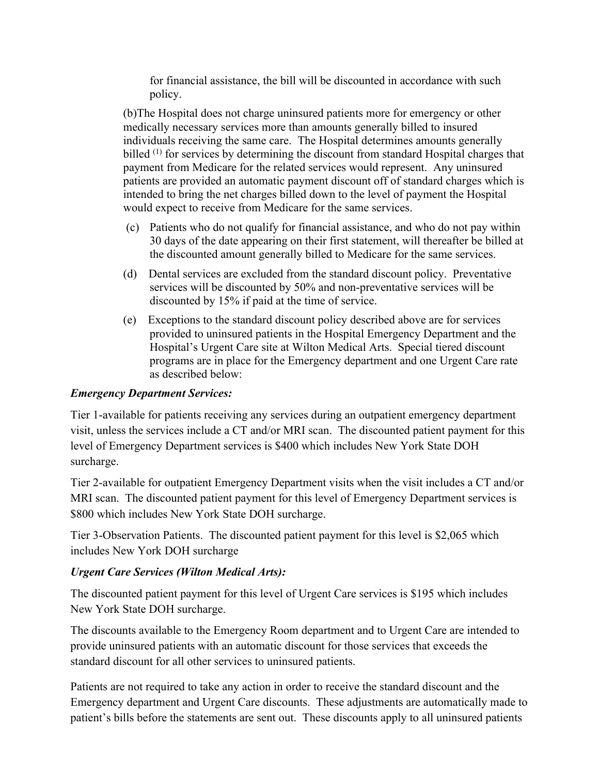for financial assistance, the bill will be discounted in accordance with such policy.

(b)The Hospital does not charge uninsured patients more for emergency or other medically necessary services more than amounts generally billed to insured individuals receiving the same care. The Hospital determines amounts generally billed (1) for services by determining the discount from standard Hospital charges that payment from Medicare for the related services would represent. Any uninsured patients are provided an automatic payment discount off of standard charges which is intended to bring the net charges billed down to the level of payment the Hospital would expect to receive from Medicare for the same services.

- (c) Patients who do not qualify for financial assistance, and who do not pay within 30 days of the date appearing on their first statement, will thereafter be billed at the discounted amount generally billed to Medicare for the same services.
- (d) Dental services are excluded from the standard discount policy. Preventative services will be discounted by 50% and non-preventative services will be discounted by 15% if paid at the time of service.
- (e) Exceptions to the standard discount policy described above are for services provided to uninsured patients in the Hospital Emergency Department and the Hospital's Urgent Care site at Wilton Medical Arts. Special tiered discount programs are in place for the Emergency department and one Urgent Care rate as described below:

### *Emergency Department Services:*

Tier 1-available for patients receiving any services during an outpatient emergency department visit, unless the services include a CT and/or MRI scan. The discounted patient payment for this level of Emergency Department services is \$400 which includes New York State DOH surcharge.

Tier 2-available for outpatient Emergency Department visits when the visit includes a CT and/or MRI scan. The discounted patient payment for this level of Emergency Department services is \$800 which includes New York State DOH surcharge.

Tier 3-Observation Patients. The discounted patient payment for this level is \$2,065 which includes New York DOH surcharge

### *Urgent Care Services (Wilton Medical Arts):*

The discounted patient payment for this level of Urgent Care services is \$195 which includes New York State DOH surcharge.

The discounts available to the Emergency Room department and to Urgent Care are intended to provide uninsured patients with an automatic discount for those services that exceeds the standard discount for all other services to uninsured patients.

Patients are not required to take any action in order to receive the standard discount and the Emergency department and Urgent Care discounts. These adjustments are automatically made to patient's bills before the statements are sent out. These discounts apply to all uninsured patients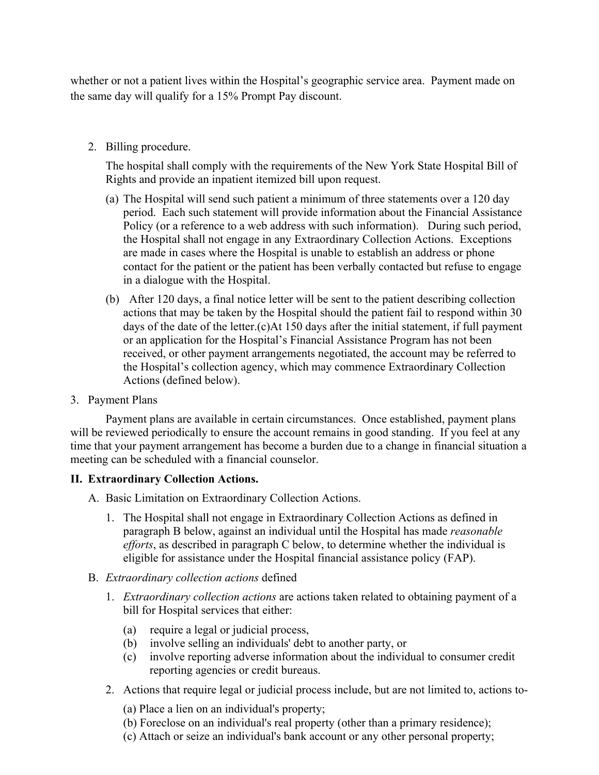whether or not a patient lives within the Hospital's geographic service area. Payment made on the same day will qualify for a 15% Prompt Pay discount.

2. Billing procedure.

 The hospital shall comply with the requirements of the New York State Hospital Bill of Rights and provide an inpatient itemized bill upon request.

- (a) The Hospital will send such patient a minimum of three statements over a 120 day period. Each such statement will provide information about the Financial Assistance Policy (or a reference to a web address with such information). During such period, the Hospital shall not engage in any Extraordinary Collection Actions. Exceptions are made in cases where the Hospital is unable to establish an address or phone contact for the patient or the patient has been verbally contacted but refuse to engage in a dialogue with the Hospital.
- (b) After 120 days, a final notice letter will be sent to the patient describing collection actions that may be taken by the Hospital should the patient fail to respond within 30 days of the date of the letter.(c)At 150 days after the initial statement, if full payment or an application for the Hospital's Financial Assistance Program has not been received, or other payment arrangements negotiated, the account may be referred to the Hospital's collection agency, which may commence Extraordinary Collection Actions (defined below).
- 3. Payment Plans

Payment plans are available in certain circumstances. Once established, payment plans will be reviewed periodically to ensure the account remains in good standing. If you feel at any time that your payment arrangement has become a burden due to a change in financial situation a meeting can be scheduled with a financial counselor.

#### **II. Extraordinary Collection Actions.**

- A. Basic Limitation on Extraordinary Collection Actions.
	- 1. The Hospital shall not engage in Extraordinary Collection Actions as defined in paragraph B below, against an individual until the Hospital has made *reasonable efforts*, as described in paragraph C below, to determine whether the individual is eligible for assistance under the Hospital financial assistance policy (FAP).
- B. *Extraordinary collection actions* defined
	- 1. *Extraordinary collection actions* are actions taken related to obtaining payment of a bill for Hospital services that either:
		- (a) require a legal or judicial process,
		- (b) involve selling an individuals' debt to another party, or
		- (c) involve reporting adverse information about the individual to consumer credit reporting agencies or credit bureaus.
	- 2. Actions that require legal or judicial process include, but are not limited to, actions to-
		- (a) Place a lien on an individual's property;
		- (b) Foreclose on an individual's real property (other than a primary residence);
		- (c) Attach or seize an individual's bank account or any other personal property;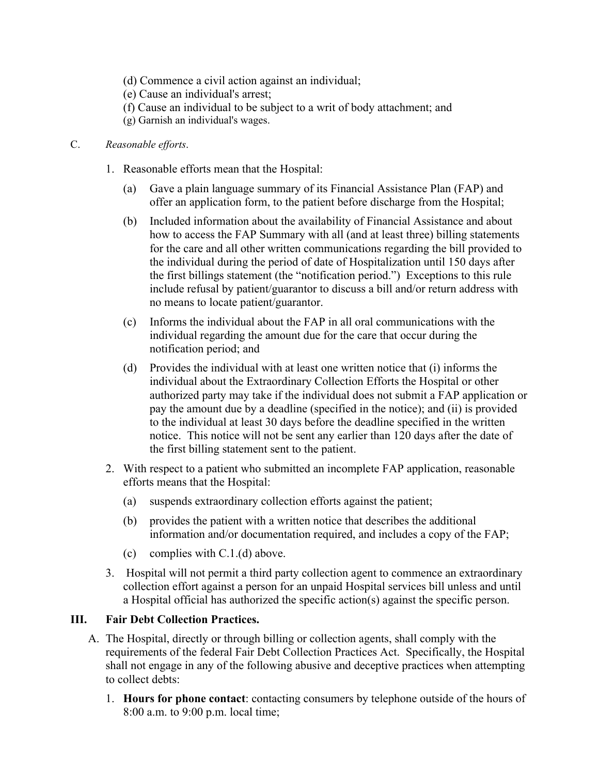- (d) Commence a civil action against an individual;
- (e) Cause an individual's arrest;
- (f) Cause an individual to be subject to a writ of body attachment; and
- (g) Garnish an individual's wages.

### C. *Reasonable efforts*.

- 1. Reasonable efforts mean that the Hospital:
	- (a) Gave a plain language summary of its Financial Assistance Plan (FAP) and offer an application form, to the patient before discharge from the Hospital;
	- (b) Included information about the availability of Financial Assistance and about how to access the FAP Summary with all (and at least three) billing statements for the care and all other written communications regarding the bill provided to the individual during the period of date of Hospitalization until 150 days after the first billings statement (the "notification period.") Exceptions to this rule include refusal by patient/guarantor to discuss a bill and/or return address with no means to locate patient/guarantor.
	- (c) Informs the individual about the FAP in all oral communications with the individual regarding the amount due for the care that occur during the notification period; and
	- (d) Provides the individual with at least one written notice that (i) informs the individual about the Extraordinary Collection Efforts the Hospital or other authorized party may take if the individual does not submit a FAP application or pay the amount due by a deadline (specified in the notice); and (ii) is provided to the individual at least 30 days before the deadline specified in the written notice. This notice will not be sent any earlier than 120 days after the date of the first billing statement sent to the patient.
- 2. With respect to a patient who submitted an incomplete FAP application, reasonable efforts means that the Hospital:
	- (a) suspends extraordinary collection efforts against the patient;
	- (b) provides the patient with a written notice that describes the additional information and/or documentation required, and includes a copy of the FAP;
	- (c) complies with C.1.(d) above.
- 3. Hospital will not permit a third party collection agent to commence an extraordinary collection effort against a person for an unpaid Hospital services bill unless and until a Hospital official has authorized the specific action(s) against the specific person.

# **III. Fair Debt Collection Practices.**

- A. The Hospital, directly or through billing or collection agents, shall comply with the requirements of the federal Fair Debt Collection Practices Act. Specifically, the Hospital shall not engage in any of the following abusive and deceptive practices when attempting to collect debts:
	- 1. **Hours for phone contact**: contacting consumers by telephone outside of the hours of 8:00 a.m. to 9:00 p.m. local time;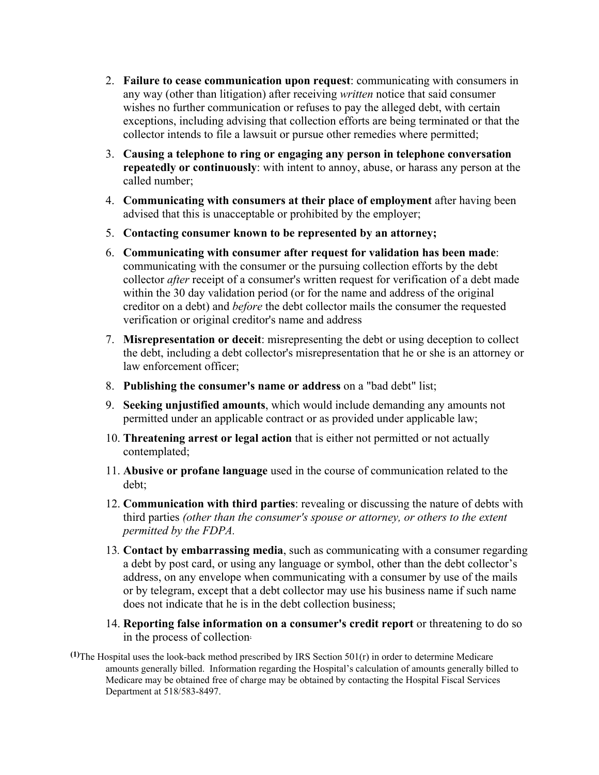- 2. **Failure to cease communication upon request**: communicating with consumers in any way (other than litigation) after receiving *written* notice that said consumer wishes no further communication or refuses to pay the alleged debt, with certain exceptions, including advising that collection efforts are being terminated or that the collector intends to file a lawsuit or pursue other remedies where permitted;
- 3. **Causing a telephone to ring or engaging any person in telephone conversation repeatedly or continuously**: with intent to annoy, abuse, or harass any person at the called number;
- 4. **Communicating with consumers at their place of employment** after having been advised that this is unacceptable or prohibited by the employer;
- 5. **Contacting consumer known to be represented by an attorney;**
- 6. **Communicating with consumer after request for validation has been made**: communicating with the consumer or the pursuing collection efforts by the debt collector *after* receipt of a consumer's written request for verification of a debt made within the 30 day validation period (or for the name and address of the original creditor on a debt) and *before* the debt collector mails the consumer the requested verification or original creditor's name and address
- 7. **Misrepresentation or deceit**: misrepresenting the debt or using deception to collect the debt, including a debt collector's misrepresentation that he or she is an attorney or law enforcement officer;
- 8. **Publishing the consumer's name or address** on a "bad debt" list;
- 9. **Seeking unjustified amounts**, which would include demanding any amounts not permitted under an applicable contract or as provided under applicable law;
- 10. **Threatening arrest or legal action** that is either not permitted or not actually contemplated;
- 11. **Abusive or profane language** used in the course of communication related to the debt;
- 12. **Communication with third parties**: revealing or discussing the nature of debts with third parties *(other than the consumer's spouse or attorney, or others to the extent permitted by the FDPA.*
- 13*.* **Contact by embarrassing media**, such as communicating with a consumer regarding a debt by post card, or using any language or symbol, other than the debt collector's address, on any envelope when communicating with a consumer by use of the mails or by telegram, except that a debt collector may use his business name if such name does not indicate that he is in the debt collection business;
- 14. **Reporting false information on a consumer's credit report** or threatening to do so in the process of collection.
- **(1)**The Hospital uses the look-back method prescribed by IRS Section 501(r) in order to determine Medicare amounts generally billed. Information regarding the Hospital's calculation of amounts generally billed to Medicare may be obtained free of charge may be obtained by contacting the Hospital Fiscal Services Department at 518/583-8497.